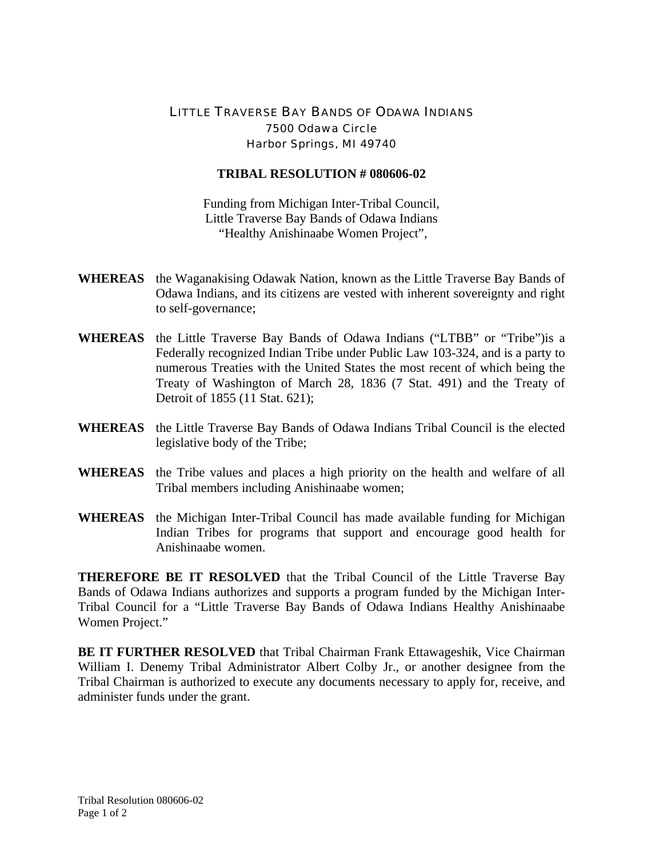## LITTLE TRAVERSE BAY BANDS OF ODAWA INDIANS 7500 Odawa Circle Harbor Springs, MI 49740

## **TRIBAL RESOLUTION # 080606-02**

Funding from Michigan Inter-Tribal Council, Little Traverse Bay Bands of Odawa Indians "Healthy Anishinaabe Women Project",

- **WHEREAS** the Waganakising Odawak Nation, known as the Little Traverse Bay Bands of Odawa Indians, and its citizens are vested with inherent sovereignty and right to self-governance;
- **WHEREAS** the Little Traverse Bay Bands of Odawa Indians ("LTBB" or "Tribe")is a Federally recognized Indian Tribe under Public Law 103-324, and is a party to numerous Treaties with the United States the most recent of which being the Treaty of Washington of March 28, 1836 (7 Stat. 491) and the Treaty of Detroit of 1855 (11 Stat. 621);
- **WHEREAS** the Little Traverse Bay Bands of Odawa Indians Tribal Council is the elected legislative body of the Tribe;
- **WHEREAS** the Tribe values and places a high priority on the health and welfare of all Tribal members including Anishinaabe women;
- **WHEREAS** the Michigan Inter-Tribal Council has made available funding for Michigan Indian Tribes for programs that support and encourage good health for Anishinaabe women.

**THEREFORE BE IT RESOLVED** that the Tribal Council of the Little Traverse Bay Bands of Odawa Indians authorizes and supports a program funded by the Michigan Inter-Tribal Council for a "Little Traverse Bay Bands of Odawa Indians Healthy Anishinaabe Women Project."

**BE IT FURTHER RESOLVED** that Tribal Chairman Frank Ettawageshik, Vice Chairman William I. Denemy Tribal Administrator Albert Colby Jr., or another designee from the Tribal Chairman is authorized to execute any documents necessary to apply for, receive, and administer funds under the grant.